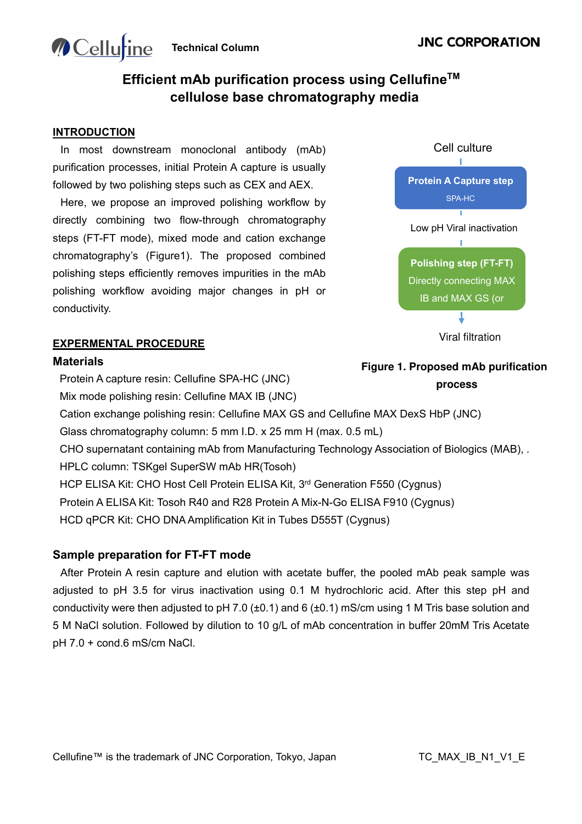# **Technical Column**

# **Efficient mAb purification process using CellufineTM cellulose base chromatography media**

### **INTRODUCTION**

**MCellu**tine

In most downstream monoclonal antibody (mAb) purification processes, initial Protein A capture is usually followed by two polishing steps such as CEX and AEX.

Here, we propose an improved polishing workflow by directly combining two flow-through chromatography steps (FT-FT mode), mixed mode and cation exchange chromatography's (Figure1). The proposed combined polishing steps efficiently removes impurities in the mAb polishing workflow avoiding major changes in pH or conductivity.

### **EXPERMENTAL PROCEDURE**

### **Materials**

Protein A capture resin: Cellufine SPA-HC (JNC)

Mix mode polishing resin: Cellufine MAX IB (JNC)

Cation exchange polishing resin: Cellufine MAX GS and Cellufine MAX DexS HbP (JNC)

Glass chromatography column: 5 mm I.D. x 25 mm H (max. 0.5 mL)

CHO supernatant containing mAb from Manufacturing Technology Association of Biologics (MAB), .

HPLC column: TSKgel SuperSW mAb HR(Tosoh)

HCP ELISA Kit: CHO Host Cell Protein ELISA Kit, 3<sup>rd</sup> Generation F550 (Cygnus)

Protein A ELISA Kit: Tosoh R40 and R28 Protein A Mix-N-Go ELISA F910 (Cygnus)

HCD qPCR Kit: CHO DNA Amplification Kit in Tubes D555T (Cygnus)

# **Sample preparation for FT-FT mode**

After Protein A resin capture and elution with acetate buffer, the pooled mAb peak sample was adjusted to pH 3.5 for virus inactivation using 0.1 M hydrochloric acid. After this step pH and conductivity were then adjusted to pH 7.0 ( $\pm$ 0.1) and 6 ( $\pm$ 0.1) mS/cm using 1 M Tris base solution and 5 M NaCl solution. Followed by dilution to 10 g/L of mAb concentration in buffer 20mM Tris Acetate pH 7.0 + cond.6 mS/cm NaCl.



**Figure 1. Proposed mAb purification process**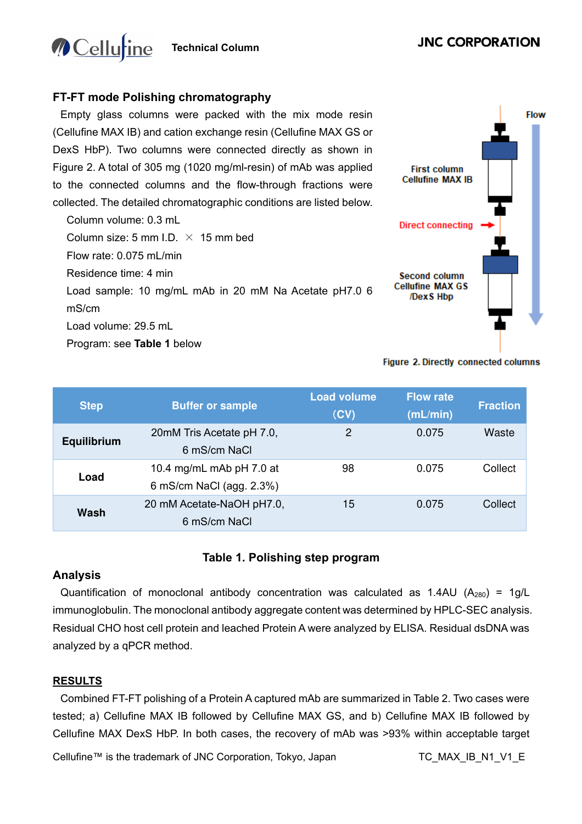

# **Technical Column**

# **FT-FT mode Polishing chromatography**

**MCellurine** 

Empty glass columns were packed with the mix mode resin (Cellufine MAX IB) and cation exchange resin (Cellufine MAX GS or DexS HbP). Two columns were connected directly as shown in Figure 2. A total of 305 mg (1020 mg/ml-resin) of mAb was applied to the connected columns and the flow-through fractions were collected. The detailed chromatographic conditions are listed below.

| Column volume: 0.3 mL                                 |  |  |  |  |  |  |  |
|-------------------------------------------------------|--|--|--|--|--|--|--|
| Column size: 5 mm $LD \times 15$ mm bed               |  |  |  |  |  |  |  |
| Flow rate: 0.075 mL/min                               |  |  |  |  |  |  |  |
| Residence time: 4 min                                 |  |  |  |  |  |  |  |
| Load sample: 10 mg/mL mAb in 20 mM Na Acetate pH7.0 6 |  |  |  |  |  |  |  |
| mS/cm                                                 |  |  |  |  |  |  |  |
| Load volume: 29.5 mL                                  |  |  |  |  |  |  |  |
| Program: see Table 1 below                            |  |  |  |  |  |  |  |



#### Figure 2. Directly connected columns

| <b>Step</b> | <b>Buffer or sample</b>   | <b>Load volume</b><br>(CV) | <b>Flow rate</b><br>(mL/min) | <b>Fraction</b> |
|-------------|---------------------------|----------------------------|------------------------------|-----------------|
| Equilibrium | 20mM Tris Acetate pH 7.0, | 2                          | 0.075                        | Waste           |
|             | 6 mS/cm NaCl              |                            |                              |                 |
| Load        | 10.4 mg/mL mAb pH 7.0 at  | 98                         | 0.075                        | Collect         |
|             | 6 mS/cm NaCl (agg. 2.3%)  |                            |                              |                 |
| Wash        | 20 mM Acetate-NaOH pH7.0, | 15                         | 0.075                        | Collect         |
|             | 6 mS/cm NaCl              |                            |                              |                 |

### **Table 1. Polishing step program**

### **Analysis**

Quantification of monoclonal antibody concentration was calculated as 1.4AU ( $A_{280}$ ) = 1g/L immunoglobulin. The monoclonal antibody aggregate content was determined by HPLC-SEC analysis. Residual CHO host cell protein and leached Protein A were analyzed by ELISA. Residual dsDNA was analyzed by a qPCR method.

### **RESULTS**

Combined FT-FT polishing of a Protein A captured mAb are summarized in Table 2. Two cases were tested; a) Cellufine MAX IB followed by Cellufine MAX GS, and b) Cellufine MAX IB followed by Cellufine MAX DexS HbP. In both cases, the recovery of mAb was >93% within acceptable target

Cellufine™ is the trademark of JNC Corporation, Tokyo, Japan TC\_MAX\_IB\_N1\_V1\_E